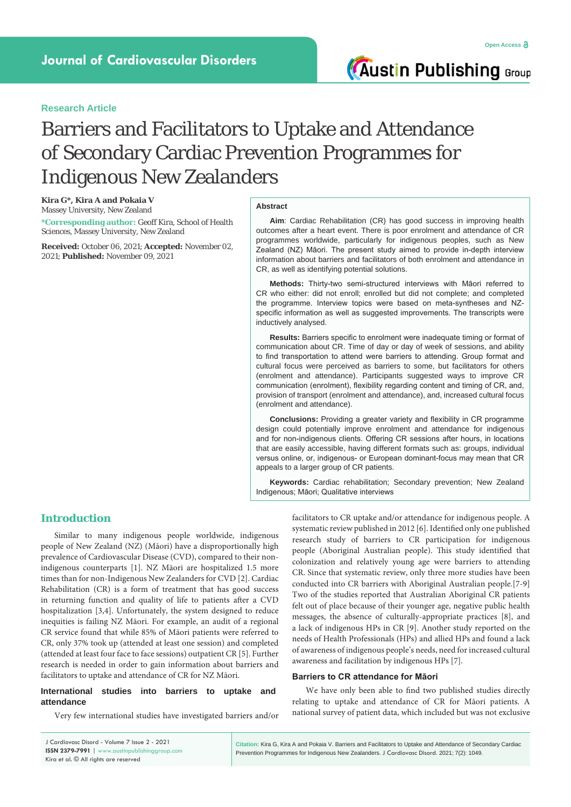**Austin Publishing Group** 

## **Research Article**

# Barriers and Facilitators to Uptake and Attendance of Secondary Cardiac Prevention Programmes for Indigenous New Zealanders

**Kira G\*, Kira A and Pokaia V** Massey University, New Zealand

**\*Corresponding author:** Geoff Kira, School of Health Sciences, Massey University, New Zealand

**Received:** October 06, 2021; **Accepted:** November 02, 2021; **Published:** November 09, 2021

## **Abstract**

**Aim**: Cardiac Rehabilitation (CR) has good success in improving health outcomes after a heart event. There is poor enrolment and attendance of CR programmes worldwide, particularly for indigenous peoples, such as New Zealand (NZ) Māori. The present study aimed to provide in-depth interview information about barriers and facilitators of both enrolment and attendance in CR, as well as identifying potential solutions.

**Methods:** Thirty-two semi-structured interviews with Māori referred to CR who either: did not enroll; enrolled but did not complete; and completed the programme. Interview topics were based on meta-syntheses and NZspecific information as well as suggested improvements. The transcripts were inductively analysed.

**Results:** Barriers specific to enrolment were inadequate timing or format of communication about CR. Time of day or day of week of sessions, and ability to find transportation to attend were barriers to attending. Group format and cultural focus were perceived as barriers to some, but facilitators for others (enrolment and attendance). Participants suggested ways to improve CR communication (enrolment), flexibility regarding content and timing of CR, and, provision of transport (enrolment and attendance), and, increased cultural focus (enrolment and attendance).

**Conclusions:** Providing a greater variety and flexibility in CR programme design could potentially improve enrolment and attendance for indigenous and for non-indigenous clients. Offering CR sessions after hours, in locations that are easily accessible, having different formats such as: groups, individual versus online, or, indigenous- or European dominant-focus may mean that CR appeals to a larger group of CR patients.

**Keywords:** Cardiac rehabilitation; Secondary prevention; New Zealand Indigenous; Māori; Qualitative interviews

## **Introduction**

Similar to many indigenous people worldwide, indigenous people of New Zealand (NZ) (Māori) have a disproportionally high prevalence of Cardiovascular Disease (CVD), compared to their nonindigenous counterparts [1]. NZ Māori are hospitalized 1.5 more times than for non-Indigenous New Zealanders for CVD [2]. Cardiac Rehabilitation (CR) is a form of treatment that has good success in returning function and quality of life to patients after a CVD hospitalization [3,4]. Unfortunately, the system designed to reduce inequities is failing NZ Māori. For example, an audit of a regional CR service found that while 85% of Māori patients were referred to CR, only 37% took up (attended at least one session) and completed (attended at least four face to face sessions) outpatient CR [5]. Further research is needed in order to gain information about barriers and facilitators to uptake and attendance of CR for NZ Māori.

#### **International studies into barriers to uptake and attendance**

Very few international studies have investigated barriers and/or

facilitators to CR uptake and/or attendance for indigenous people. A systematic review published in 2012 [6]. Identified only one published research study of barriers to CR participation for indigenous people (Aboriginal Australian people). This study identified that colonization and relatively young age were barriers to attending CR. Since that systematic review, only three more studies have been conducted into CR barriers with Aboriginal Australian people.[7-9] Two of the studies reported that Australian Aboriginal CR patients felt out of place because of their younger age, negative public health messages, the absence of culturally-appropriate practices [8], and a lack of indigenous HPs in CR [9]. Another study reported on the needs of Health Professionals (HPs) and allied HPs and found a lack of awareness of indigenous people's needs, need for increased cultural awareness and facilitation by indigenous HPs [7].

#### **Barriers to CR attendance for Māori**

We have only been able to find two published studies directly relating to uptake and attendance of CR for Māori patients. A national survey of patient data, which included but was not exclusive

| J Cardiovasc Disord - Volume 7 Issue 2 - 2021  |
|------------------------------------------------|
| ISSN 2379-7991   www.austinpublishinggroup.com |
| Kira et al. © All rights are reserved          |

**Citation:** Kira G, Kira A and Pokaia V. Barriers and Facilitators to Uptake and Attendance of Secondary Cardiac Prevention Programmes for Indigenous New Zealanders. J Cardiovasc Disord. 2021; 7(2): 1049.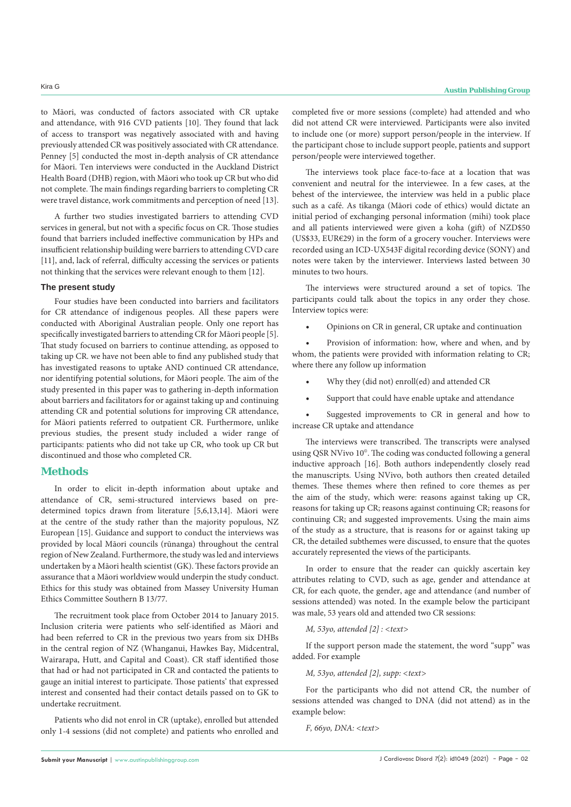to Māori, was conducted of factors associated with CR uptake and attendance, with 916 CVD patients [10]. They found that lack of access to transport was negatively associated with and having previously attended CR was positively associated with CR attendance. Penney [5] conducted the most in-depth analysis of CR attendance for Māori. Ten interviews were conducted in the Auckland District Health Board (DHB) region, with Māori who took up CR but who did not complete. The main findings regarding barriers to completing CR were travel distance, work commitments and perception of need [13].

A further two studies investigated barriers to attending CVD services in general, but not with a specific focus on CR. Those studies found that barriers included ineffective communication by HPs and insufficient relationship building were barriers to attending CVD care [11], and, lack of referral, difficulty accessing the services or patients not thinking that the services were relevant enough to them [12].

#### **The present study**

Four studies have been conducted into barriers and facilitators for CR attendance of indigenous peoples. All these papers were conducted with Aboriginal Australian people. Only one report has specifically investigated barriers to attending CR for Māori people [5]. That study focused on barriers to continue attending, as opposed to taking up CR. we have not been able to find any published study that has investigated reasons to uptake AND continued CR attendance, nor identifying potential solutions, for Māori people. The aim of the study presented in this paper was to gathering in-depth information about barriers and facilitators for or against taking up and continuing attending CR and potential solutions for improving CR attendance, for Māori patients referred to outpatient CR. Furthermore, unlike previous studies, the present study included a wider range of participants: patients who did not take up CR, who took up CR but discontinued and those who completed CR.

## **Methods**

In order to elicit in-depth information about uptake and attendance of CR, semi-structured interviews based on predetermined topics drawn from literature [5,6,13,14]. Māori were at the centre of the study rather than the majority populous, NZ European [15]. Guidance and support to conduct the interviews was provided by local Māori councils (rūnanga) throughout the central region of New Zealand. Furthermore, the study was led and interviews undertaken by a Māori health scientist (GK). These factors provide an assurance that a Māori worldview would underpin the study conduct. Ethics for this study was obtained from Massey University Human Ethics Committee Southern B 13/77.

The recruitment took place from October 2014 to January 2015. Inclusion criteria were patients who self-identified as Māori and had been referred to CR in the previous two years from six DHBs in the central region of NZ (Whanganui, Hawkes Bay, Midcentral, Wairarapa, Hutt, and Capital and Coast). CR staff identified those that had or had not participated in CR and contacted the patients to gauge an initial interest to participate. Those patients' that expressed interest and consented had their contact details passed on to GK to undertake recruitment.

Patients who did not enrol in CR (uptake), enrolled but attended only 1-4 sessions (did not complete) and patients who enrolled and completed five or more sessions (complete) had attended and who did not attend CR were interviewed. Participants were also invited to include one (or more) support person/people in the interview. If the participant chose to include support people, patients and support person/people were interviewed together.

The interviews took place face-to-face at a location that was convenient and neutral for the interviewee. In a few cases, at the behest of the interviewee, the interview was held in a public place such as a café. As tikanga (Māori code of ethics) would dictate an initial period of exchanging personal information (mihi) took place and all patients interviewed were given a koha (gift) of NZD\$50 (US\$33, EUR€29) in the form of a grocery voucher. Interviews were recorded using an ICD-UX543F digital recording device (SONY) and notes were taken by the interviewer. Interviews lasted between 30 minutes to two hours.

The interviews were structured around a set of topics. The participants could talk about the topics in any order they chose. Interview topics were:

Opinions on CR in general, CR uptake and continuation

Provision of information: how, where and when, and by whom, the patients were provided with information relating to CR; where there any follow up information

- Why they (did not) enroll(ed) and attended CR
- Support that could have enable uptake and attendance

Suggested improvements to CR in general and how to increase CR uptake and attendance

The interviews were transcribed. The transcripts were analysed using QSR NVivo 10©. The coding was conducted following a general inductive approach [16]. Both authors independently closely read the manuscripts. Using NVivo, both authors then created detailed themes. These themes where then refined to core themes as per the aim of the study, which were: reasons against taking up CR, reasons for taking up CR; reasons against continuing CR; reasons for continuing CR; and suggested improvements. Using the main aims of the study as a structure, that is reasons for or against taking up CR, the detailed subthemes were discussed, to ensure that the quotes accurately represented the views of the participants.

In order to ensure that the reader can quickly ascertain key attributes relating to CVD, such as age, gender and attendance at CR, for each quote, the gender, age and attendance (and number of sessions attended) was noted. In the example below the participant was male, 53 years old and attended two CR sessions:

#### *M, 53yo, attended [2] : <text>*

If the support person made the statement, the word "supp" was added. For example

*M, 53yo, attended [2], supp: <text>*

For the participants who did not attend CR, the number of sessions attended was changed to DNA (did not attend) as in the example below:

*F, 66yo, DNA: <text>*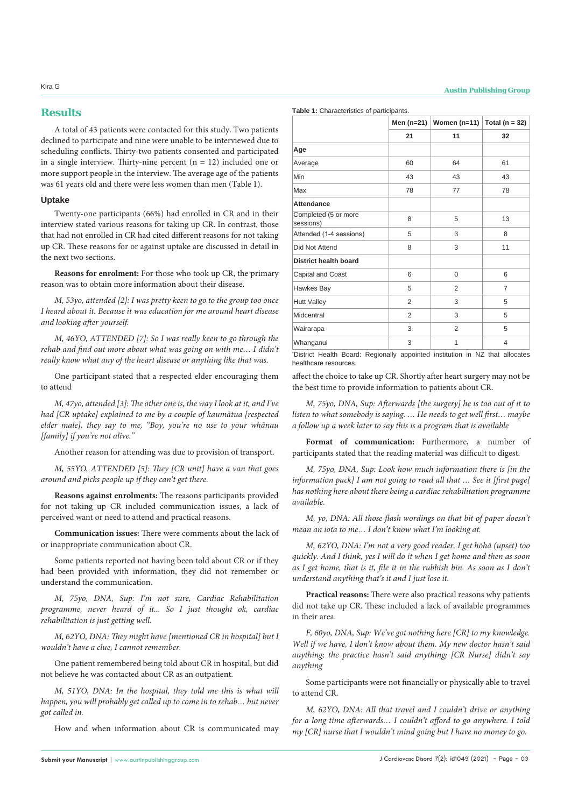## **Results**

A total of 43 patients were contacted for this study. Two patients declined to participate and nine were unable to be interviewed due to scheduling conflicts. Thirty-two patients consented and participated in a single interview. Thirty-nine percent  $(n = 12)$  included one or more support people in the interview. The average age of the patients was 61 years old and there were less women than men (Table 1).

### **Uptake**

Twenty-one participants (66%) had enrolled in CR and in their interview stated various reasons for taking up CR. In contrast, those that had not enrolled in CR had cited different reasons for not taking up CR. These reasons for or against uptake are discussed in detail in the next two sections.

**Reasons for enrolment:** For those who took up CR, the primary reason was to obtain more information about their disease.

*M, 53yo, attended [2]: I was pretty keen to go to the group too once I heard about it. Because it was education for me around heart disease and looking after yourself.*

*M, 46YO, ATTENDED [7]: So I was really keen to go through the rehab and find out more about what was going on with me… I didn't really know what any of the heart disease or anything like that was.*

One participant stated that a respected elder encouraging them to attend

*M, 47yo, attended [3]: The other one is, the way I look at it, and I've had [CR uptake] explained to me by a couple of kaumātua [respected elder male], they say to me, "Boy, you're no use to your whānau [family] if you're not alive."*

Another reason for attending was due to provision of transport.

*M, 55YO, ATTENDED [5]: They [CR unit] have a van that goes around and picks people up if they can't get there.* 

**Reasons against enrolments:** The reasons participants provided for not taking up CR included communication issues, a lack of perceived want or need to attend and practical reasons.

**Communication issues:** There were comments about the lack of or inappropriate communication about CR.

Some patients reported not having been told about CR or if they had been provided with information, they did not remember or understand the communication.

*M, 75yo, DNA, Sup: I'm not sure, Cardiac Rehabilitation programme, never heard of it... So I just thought ok, cardiac rehabilitation is just getting well.*

*M, 62YO, DNA: They might have [mentioned CR in hospital] but I wouldn't have a clue, I cannot remember.*

One patient remembered being told about CR in hospital, but did not believe he was contacted about CR as an outpatient.

*M, 51YO, DNA: In the hospital, they told me this is what will happen, you will probably get called up to come in to rehab… but never got called in.*

How and when information about CR is communicated may

**Table 1:** Characteristics of participants.

|                                   |                | Men (n=21)   Women (n=11)   Total (n = 32) |    |
|-----------------------------------|----------------|--------------------------------------------|----|
|                                   | 21             | 11                                         | 32 |
| Age                               |                |                                            |    |
| Average                           | 60             | 64                                         | 61 |
| Min                               | 43             | 43                                         | 43 |
| Max                               | 78             | 77                                         | 78 |
| <b>Attendance</b>                 |                |                                            |    |
| Completed (5 or more<br>sessions) | 8              | 5                                          | 13 |
| Attended (1-4 sessions)           | 5              | 3                                          | 8  |
| Did Not Attend                    | 8              | 3                                          | 11 |
| <b>District health board</b>      |                |                                            |    |
| Capital and Coast                 | 6              | 0                                          | 6  |
| Hawkes Bay                        | 5              | $\overline{2}$                             | 7  |
| <b>Hutt Valley</b>                | $\overline{2}$ | 3                                          | 5  |
| Midcentral                        | $\overline{2}$ | 3                                          | 5  |
| Wairarapa                         | 3              | 2                                          | 5  |
| Whanganui                         | 3              | 1                                          | 4  |

\* District Health Board: Regionally appointed institution in NZ that allocates healthcare resources.

affect the choice to take up CR. Shortly after heart surgery may not be the best time to provide information to patients about CR.

*M, 75yo, DNA, Sup: Afterwards [the surgery] he is too out of it to listen to what somebody is saying. … He needs to get well first… maybe a follow up a week later to say this is a program that is available*

**Format of communication:** Furthermore, a number of participants stated that the reading material was difficult to digest.

*M, 75yo, DNA, Sup: Look how much information there is [in the information pack] I am not going to read all that … See it [first page] has nothing here about there being a cardiac rehabilitation programme available.*

*M, yo, DNA: All those flash wordings on that bit of paper doesn't mean an iota to me… I don't know what I'm looking at.* 

*M, 62YO, DNA: I'm not a very good reader, I get hōhā (upset) too quickly. And I think, yes I will do it when I get home and then as soon as I get home, that is it, file it in the rubbish bin. As soon as I don't understand anything that's it and I just lose it.*

**Practical reasons:** There were also practical reasons why patients did not take up CR. These included a lack of available programmes in their area.

*F, 60yo, DNA, Sup: We've got nothing here [CR] to my knowledge. Well if we have, I don't know about them. My new doctor hasn't said anything; the practice hasn't said anything; [CR Nurse] didn't say anything*

Some participants were not financially or physically able to travel to attend CR.

*M, 62YO, DNA: All that travel and I couldn't drive or anything for a long time afterwards… I couldn't afford to go anywhere. I told my [CR] nurse that I wouldn't mind going but I have no money to go.*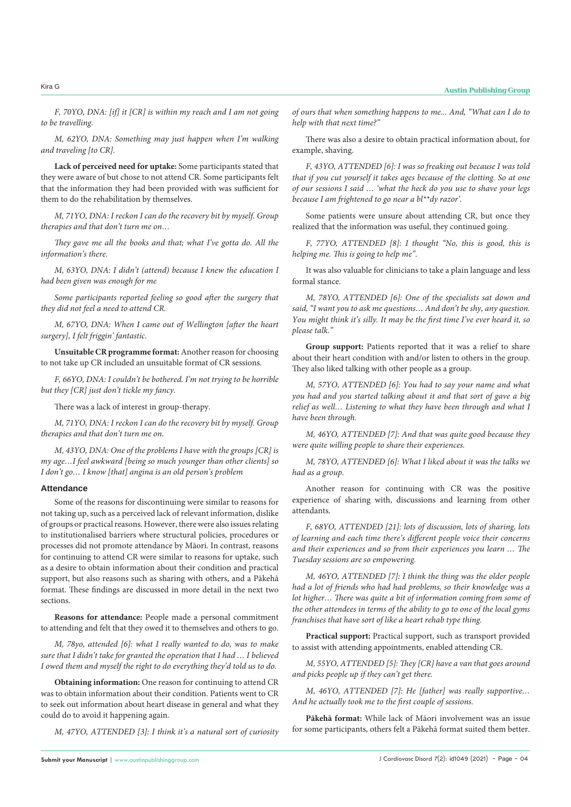*F, 70YO, DNA: [if] it [CR] is within my reach and I am not going to be travelling.*

*M, 62YO, DNA: Something may just happen when I'm walking and traveling [to CR].*

**Lack of perceived need for uptake:** Some participants stated that they were aware of but chose to not attend CR. Some participants felt that the information they had been provided with was sufficient for them to do the rehabilitation by themselves.

*M, 71YO, DNA: I reckon I can do the recovery bit by myself. Group therapies and that don't turn me on…*

*They gave me all the books and that; what I've gotta do. All the information's there.*

*M, 63YO, DNA: I didn't (attend) because I knew the education I had been given was enough for me*

*Some participants reported feeling so good after the surgery that they did not feel a need to attend CR.* 

*M, 67YO, DNA: When I came out of Wellington [after the heart surgery], I felt friggin' fantastic.*

**Unsuitable CR programme format:** Another reason for choosing to not take up CR included an unsuitable format of CR sessions.

*F, 66YO, DNA: I couldn't be bothered. I'm not trying to be horrible but they [CR] just don't tickle my fancy.*

There was a lack of interest in group-therapy.

*M, 71YO, DNA: I reckon I can do the recovery bit by myself. Group therapies and that don't turn me on.*

*M, 43YO, DNA: One of the problems I have with the groups [CR] is my age…I feel awkward [being so much younger than other clients] so I don't go… I know [that] angina is an old person's problem*

### **Attendance**

Some of the reasons for discontinuing were similar to reasons for not taking up, such as a perceived lack of relevant information, dislike of groups or practical reasons. However, there were also issues relating to institutionalised barriers where structural policies, procedures or processes did not promote attendance by Māori. In contrast, reasons for continuing to attend CR were similar to reasons for uptake, such as a desire to obtain information about their condition and practical support, but also reasons such as sharing with others, and a Pākehā format. These findings are discussed in more detail in the next two sections.

**Reasons for attendance:** People made a personal commitment to attending and felt that they owed it to themselves and others to go.

*M, 78yo, attended [6]: what I really wanted to do, was to make sure that I didn't take for granted the operation that I had … I believed I owed them and myself the right to do everything they'd told us to do.*

**Obtaining information:** One reason for continuing to attend CR was to obtain information about their condition. Patients went to CR to seek out information about heart disease in general and what they could do to avoid it happening again.

*M, 47YO, ATTENDED [3]: I think it's a natural sort of curiosity* 

*of ours that when something happens to me... And, "What can I do to help with that next time?"*

There was also a desire to obtain practical information about, for example, shaving.

*F, 43YO, ATTENDED [6]: I was so freaking out because I was told that if you cut yourself it takes ages because of the clotting. So at one of our sessions I said … 'what the heck do you use to shave your legs because I am frightened to go near a bl\*\*dy razor'.*

Some patients were unsure about attending CR, but once they realized that the information was useful, they continued going.

*F, 77YO, ATTENDED [8]: I thought "No, this is good, this is helping me. This is going to help me"*.

It was also valuable for clinicians to take a plain language and less formal stance.

*M, 78YO, ATTENDED [6]: One of the specialists sat down and said, "I want you to ask me questions… And don't be shy, any question. You might think it's silly. It may be the first time I've ever heard it, so please talk."*

Group support: Patients reported that it was a relief to share about their heart condition with and/or listen to others in the group. They also liked talking with other people as a group.

*M, 57YO, ATTENDED [6]: You had to say your name and what you had and you started talking about it and that sort of gave a big relief as well… Listening to what they have been through and what I have been through.*

*M, 46YO, ATTENDED [7]: And that was quite good because they were quite willing people to share their experiences.*

*M, 78YO, ATTENDED [6]: What I liked about it was the talks we had as a group.*

Another reason for continuing with CR was the positive experience of sharing with, discussions and learning from other attendants.

*F, 68YO, ATTENDED [21]: lots of discussion, lots of sharing, lots of learning and each time there's different people voice their concerns and their experiences and so from their experiences you learn … The Tuesday sessions are so empowering.*

*M, 46YO, ATTENDED [7]: I think the thing was the older people had a lot of friends who had had problems, so their knowledge was a lot higher… There was quite a bit of information coming from some of the other attendees in terms of the ability to go to one of the local gyms franchises that have sort of like a heart rehab type thing.*

**Practical support:** Practical support, such as transport provided to assist with attending appointments, enabled attending CR.

*M, 55YO, ATTENDED [5]: They [CR] have a van that goes around and picks people up if they can't get there.*

*M, 46YO, ATTENDED [7]: He [father] was really supportive… And he actually took me to the first couple of sessions.*

**Pākehā format:** While lack of Māori involvement was an issue for some participants, others felt a Pākehā format suited them better.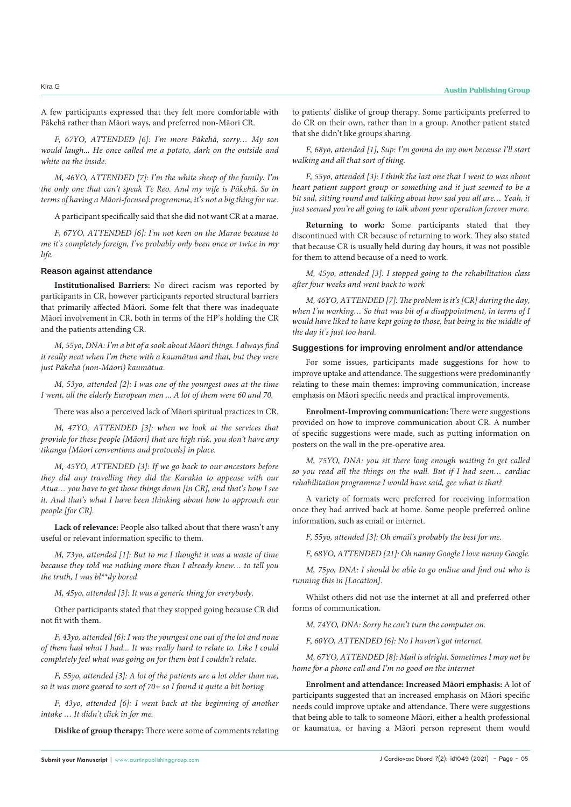A few participants expressed that they felt more comfortable with Pākehā rather than Māori ways, and preferred non-Māori CR.

*F, 67YO, ATTENDED [6]: I'm more Pākehā, sorry… My son would laugh... He once called me a potato, dark on the outside and white on the inside.*

*M, 46YO, ATTENDED [7]: I'm the white sheep of the family. I'm the only one that can't speak Te Reo. And my wife is Pākehā. So in terms of having a Māori-focused programme, it's not a big thing for me.*

A participant specifically said that she did not want CR at a marae.

*F, 67YO, ATTENDED [6]: I'm not keen on the Marae because to me it's completely foreign, I've probably only been once or twice in my life.*

#### **Reason against attendance**

**Institutionalised Barriers:** No direct racism was reported by participants in CR, however participants reported structural barriers that primarily affected Māori. Some felt that there was inadequate Māori involvement in CR, both in terms of the HP's holding the CR and the patients attending CR.

*M, 55yo, DNA: I'm a bit of a sook about Māori things. I always find it really neat when I'm there with a kaumātua and that, but they were just Pākehā (non-Māori) kaumātua*.

*M, 53yo, attended [2]: I was one of the youngest ones at the time I went, all the elderly European men ... A lot of them were 60 and 70.*

There was also a perceived lack of Māori spiritual practices in CR.

*M, 47YO, ATTENDED [3]: when we look at the services that provide for these people [Māori] that are high risk, you don't have any tikanga [Māori conventions and protocols] in place.*

*M, 45YO, ATTENDED [3]: If we go back to our ancestors before they did any travelling they did the Karakia to appease with our Atua… you have to get those things down [in CR], and that's how I see it. And that's what I have been thinking about how to approach our people [for CR].*

**Lack of relevance:** People also talked about that there wasn't any useful or relevant information specific to them.

*M, 73yo, attended [1]: But to me I thought it was a waste of time because they told me nothing more than I already knew… to tell you the truth, I was bl\*\*dy bored*

*M, 45yo, attended [3]: It was a generic thing for everybody.*

Other participants stated that they stopped going because CR did not fit with them.

*F, 43yo, attended [6]: I was the youngest one out of the lot and none of them had what I had... It was really hard to relate to. Like I could completely feel what was going on for them but I couldn't relate.*

*F, 55yo, attended [3]: A lot of the patients are a lot older than me, so it was more geared to sort of 70+ so I found it quite a bit boring*

*F, 43yo, attended [6]: I went back at the beginning of another intake … It didn't click in for me.*

**Dislike of group therapy:** There were some of comments relating

to patients' dislike of group therapy. Some participants preferred to do CR on their own, rather than in a group. Another patient stated that she didn't like groups sharing.

*F, 68yo, attended [1], Sup: I'm gonna do my own because I'll start walking and all that sort of thing*.

*F, 55yo, attended [3]: I think the last one that I went to was about heart patient support group or something and it just seemed to be a bit sad, sitting round and talking about how sad you all are… Yeah, it just seemed you're all going to talk about your operation forever more.*

**Returning to work:** Some participants stated that they discontinued with CR because of returning to work. They also stated that because CR is usually held during day hours, it was not possible for them to attend because of a need to work.

*M, 45yo, attended [3]: I stopped going to the rehabilitation class after four weeks and went back to work*

*M, 46YO, ATTENDED [7]: The problem is it's [CR] during the day, when I'm working… So that was bit of a disappointment, in terms of I would have liked to have kept going to those, but being in the middle of the day it's just too hard.*

#### **Suggestions for improving enrolment and/or attendance**

For some issues, participants made suggestions for how to improve uptake and attendance. The suggestions were predominantly relating to these main themes: improving communication, increase emphasis on Māori specific needs and practical improvements.

**Enrolment-Improving communication:** There were suggestions provided on how to improve communication about CR. A number of specific suggestions were made, such as putting information on posters on the wall in the pre-operative area.

*M, 75YO, DNA: you sit there long enough waiting to get called so you read all the things on the wall. But if I had seen… cardiac rehabilitation programme I would have said, gee what is that?*

A variety of formats were preferred for receiving information once they had arrived back at home. Some people preferred online information, such as email or internet.

*F, 55yo, attended [3]: Oh email's probably the best for me.*

*F, 68YO, ATTENDED [21]: Oh nanny Google I love nanny Google.*

*M, 75yo, DNA: I should be able to go online and find out who is running this in [Location].*

Whilst others did not use the internet at all and preferred other forms of communication.

*M, 74YO, DNA: Sorry he can't turn the computer on.*

*F, 60YO, ATTENDED [6]: No I haven't got internet.*

*M, 67YO, ATTENDED [8]: Mail is alright. Sometimes I may not be home for a phone call and I'm no good on the internet*

**Enrolment and attendance: Increased Māori emphasis:** A lot of participants suggested that an increased emphasis on Māori specific needs could improve uptake and attendance. There were suggestions that being able to talk to someone Māori, either a health professional or kaumatua, or having a Māori person represent them would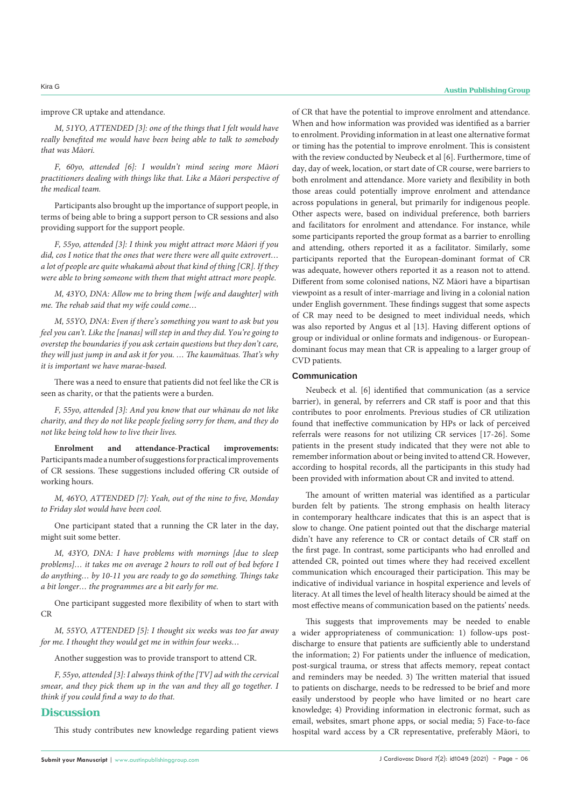improve CR uptake and attendance.

*M, 51YO, ATTENDED [3]: one of the things that I felt would have really benefited me would have been being able to talk to somebody that was Māori.*

*F, 60yo, attended [6]: I wouldn't mind seeing more Māori practitioners dealing with things like that. Like a Māori perspective of the medical team.*

Participants also brought up the importance of support people, in terms of being able to bring a support person to CR sessions and also providing support for the support people.

*F, 55yo, attended [3]: I think you might attract more Māori if you did, cos I notice that the ones that were there were all quite extrovert… a lot of people are quite whakamā about that kind of thing [CR]. If they were able to bring someone with them that might attract more people.*

*M, 43YO, DNA: Allow me to bring them [wife and daughter] with me. The rehab said that my wife could come…*

*M, 55YO, DNA: Even if there's something you want to ask but you feel you can't. Like the [nanas] will step in and they did. You're going to overstep the boundaries if you ask certain questions but they don't care, they will just jump in and ask it for you. … The kaumātuas. That's why it is important we have marae-based.*

There was a need to ensure that patients did not feel like the CR is seen as charity, or that the patients were a burden.

*F, 55yo, attended [3]: And you know that our whānau do not like charity, and they do not like people feeling sorry for them, and they do not like being told how to live their lives.*

**Enrolment and attendance-Practical improvements:**  Participants made a number of suggestions for practical improvements of CR sessions. These suggestions included offering CR outside of working hours.

*M, 46YO, ATTENDED [7]: Yeah, out of the nine to five, Monday to Friday slot would have been cool.*

One participant stated that a running the CR later in the day, might suit some better.

*M, 43YO, DNA: I have problems with mornings [due to sleep problems]… it takes me on average 2 hours to roll out of bed before I do anything… by 10-11 you are ready to go do something. Things take a bit longer… the programmes are a bit early for me.*

One participant suggested more flexibility of when to start with CR

*M, 55YO, ATTENDED [5]: I thought six weeks was too far away for me. I thought they would get me in within four weeks…*

Another suggestion was to provide transport to attend CR.

*F, 55yo, attended [3]: I always think of the [TV] ad with the cervical smear, and they pick them up in the van and they all go together. I think if you could find a way to do that.*

## **Discussion**

This study contributes new knowledge regarding patient views

of CR that have the potential to improve enrolment and attendance. When and how information was provided was identified as a barrier to enrolment. Providing information in at least one alternative format or timing has the potential to improve enrolment. This is consistent with the review conducted by Neubeck et al [6]. Furthermore, time of day, day of week, location, or start date of CR course, were barriers to both enrolment and attendance. More variety and flexibility in both those areas could potentially improve enrolment and attendance across populations in general, but primarily for indigenous people. Other aspects were, based on individual preference, both barriers and facilitators for enrolment and attendance. For instance, while some participants reported the group format as a barrier to enrolling and attending, others reported it as a facilitator. Similarly, some participants reported that the European-dominant format of CR was adequate, however others reported it as a reason not to attend. Different from some colonised nations, NZ Māori have a bipartisan viewpoint as a result of inter-marriage and living in a colonial nation under English government. These findings suggest that some aspects of CR may need to be designed to meet individual needs, which was also reported by Angus et al [13]. Having different options of group or individual or online formats and indigenous- or Europeandominant focus may mean that CR is appealing to a larger group of CVD patients.

#### **Communication**

Neubeck et al. [6] identified that communication (as a service barrier), in general, by referrers and CR staff is poor and that this contributes to poor enrolments. Previous studies of CR utilization found that ineffective communication by HPs or lack of perceived referrals were reasons for not utilizing CR services [17-26]. Some patients in the present study indicated that they were not able to remember information about or being invited to attend CR. However, according to hospital records, all the participants in this study had been provided with information about CR and invited to attend.

The amount of written material was identified as a particular burden felt by patients. The strong emphasis on health literacy in contemporary healthcare indicates that this is an aspect that is slow to change. One patient pointed out that the discharge material didn't have any reference to CR or contact details of CR staff on the first page. In contrast, some participants who had enrolled and attended CR, pointed out times where they had received excellent communication which encouraged their participation. This may be indicative of individual variance in hospital experience and levels of literacy. At all times the level of health literacy should be aimed at the most effective means of communication based on the patients' needs.

This suggests that improvements may be needed to enable a wider appropriateness of communication: 1) follow-ups postdischarge to ensure that patients are sufficiently able to understand the information; 2) For patients under the influence of medication, post-surgical trauma, or stress that affects memory, repeat contact and reminders may be needed. 3) The written material that issued to patients on discharge, needs to be redressed to be brief and more easily understood by people who have limited or no heart care knowledge; 4) Providing information in electronic format, such as email, websites, smart phone apps, or social media; 5) Face-to-face hospital ward access by a CR representative, preferably Māori, to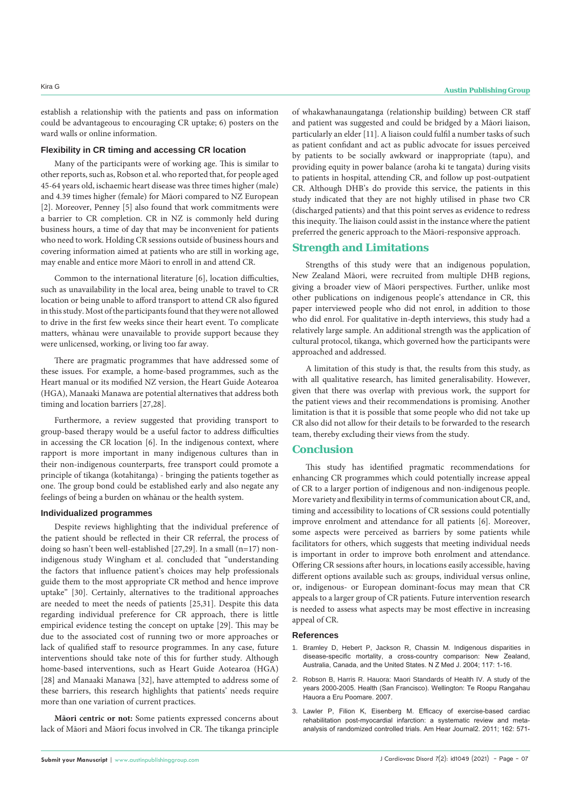establish a relationship with the patients and pass on information could be advantageous to encouraging CR uptake; 6) posters on the ward walls or online information.

#### **Flexibility in CR timing and accessing CR location**

Many of the participants were of working age. This is similar to other reports, such as, Robson et al. who reported that, for people aged 45-64 years old, ischaemic heart disease was three times higher (male) and 4.39 times higher (female) for Māori compared to NZ European [2]. Moreover, Penney [5] also found that work commitments were a barrier to CR completion. CR in NZ is commonly held during business hours, a time of day that may be inconvenient for patients who need to work. Holding CR sessions outside of business hours and covering information aimed at patients who are still in working age, may enable and entice more Māori to enroll in and attend CR.

Common to the international literature [6], location difficulties, such as unavailability in the local area, being unable to travel to CR location or being unable to afford transport to attend CR also figured in this study. Most of the participants found that they were not allowed to drive in the first few weeks since their heart event. To complicate matters, whānau were unavailable to provide support because they were unlicensed, working, or living too far away.

There are pragmatic programmes that have addressed some of these issues. For example, a home-based programmes, such as the Heart manual or its modified NZ version, the Heart Guide Aotearoa (HGA), Manaaki Manawa are potential alternatives that address both timing and location barriers [27,28].

Furthermore, a review suggested that providing transport to group-based therapy would be a useful factor to address difficulties in accessing the CR location [6]. In the indigenous context, where rapport is more important in many indigenous cultures than in their non-indigenous counterparts, free transport could promote a principle of tikanga (kotahitanga) - bringing the patients together as one. The group bond could be established early and also negate any feelings of being a burden on whānau or the health system.

#### **Individualized programmes**

Despite reviews highlighting that the individual preference of the patient should be reflected in their CR referral, the process of doing so hasn't been well-established [27,29]. In a small (n=17) nonindigenous study Wingham et al. concluded that "understanding the factors that influence patient's choices may help professionals guide them to the most appropriate CR method and hence improve uptake" [30]. Certainly, alternatives to the traditional approaches are needed to meet the needs of patients [25,31]. Despite this data regarding individual preference for CR approach, there is little empirical evidence testing the concept on uptake [29]. This may be due to the associated cost of running two or more approaches or lack of qualified staff to resource programmes. In any case, future interventions should take note of this for further study. Although home-based interventions, such as Heart Guide Aotearoa (HGA) [28] and Manaaki Manawa [32], have attempted to address some of these barriers, this research highlights that patients' needs require more than one variation of current practices.

**Māori centric or not:** Some patients expressed concerns about lack of Māori and Māori focus involved in CR. The tikanga principle

**Submit your Manuscript** | www.austinpublishinggroup.com

of whakawhanaungatanga (relationship building) between CR staff and patient was suggested and could be bridged by a Māori liaison, particularly an elder [11]. A liaison could fulfil a number tasks of such as patient confidant and act as public advocate for issues perceived by patients to be socially awkward or inappropriate (tapu), and providing equity in power balance (aroha ki te tangata) during visits to patients in hospital, attending CR, and follow up post-outpatient CR. Although DHB's do provide this service, the patients in this study indicated that they are not highly utilised in phase two CR (discharged patients) and that this point serves as evidence to redress this inequity. The liaison could assist in the instance where the patient preferred the generic approach to the Māori-responsive approach.

## **Strength and Limitations**

Strengths of this study were that an indigenous population, New Zealand Māori, were recruited from multiple DHB regions, giving a broader view of Māori perspectives. Further, unlike most other publications on indigenous people's attendance in CR, this paper interviewed people who did not enrol, in addition to those who did enrol. For qualitative in-depth interviews, this study had a relatively large sample. An additional strength was the application of cultural protocol, tikanga, which governed how the participants were approached and addressed.

A limitation of this study is that, the results from this study, as with all qualitative research, has limited generalisability. However, given that there was overlap with previous work, the support for the patient views and their recommendations is promising. Another limitation is that it is possible that some people who did not take up CR also did not allow for their details to be forwarded to the research team, thereby excluding their views from the study.

## **Conclusion**

This study has identified pragmatic recommendations for enhancing CR programmes which could potentially increase appeal of CR to a larger portion of indigenous and non-indigenous people. More variety and flexibility in terms of communication about CR, and, timing and accessibility to locations of CR sessions could potentially improve enrolment and attendance for all patients [6]. Moreover, some aspects were perceived as barriers by some patients while facilitators for others, which suggests that meeting individual needs is important in order to improve both enrolment and attendance. Offering CR sessions after hours, in locations easily accessible, having different options available such as: groups, individual versus online, or, indigenous- or European dominant-focus may mean that CR appeals to a larger group of CR patients. Future intervention research is needed to assess what aspects may be most effective in increasing appeal of CR.

#### **References**

- 1. [Bramley D, Hebert P, Jackson R, Chassin M. Indigenous disparities in](https://researchspace.auckland.ac.nz/handle/2292/4674)  [disease-specific mortality, a cross-country comparison: New Zealand,](https://researchspace.auckland.ac.nz/handle/2292/4674)  [Australia, Canada, and the United States. N Z Med J. 2004; 117: 1-16.](https://researchspace.auckland.ac.nz/handle/2292/4674)
- 2. [Robson B, Harris R. Hauora: Maori Standards of Health IV. A study of the](https://www.otago.ac.nz/wellington/departments/publichealth/research/erupomare/research/otago019494.html)  [years 2000-2005. Health \(San Francisco\). Wellington: Te Roopu Rangahau](https://www.otago.ac.nz/wellington/departments/publichealth/research/erupomare/research/otago019494.html)  [Hauora a Eru Poomare. 2007.](https://www.otago.ac.nz/wellington/departments/publichealth/research/erupomare/research/otago019494.html)
- 3. [Lawler P, Filion K, Eisenberg M. Efficacy of exercise-based cardiac](https://pubmed.ncbi.nlm.nih.gov/21982647/)  [rehabilitation post-myocardial infarction: a systematic review and meta](https://pubmed.ncbi.nlm.nih.gov/21982647/)[analysis of randomized controlled trials. Am Hear Journal2. 2011; 162: 571-](https://pubmed.ncbi.nlm.nih.gov/21982647/)